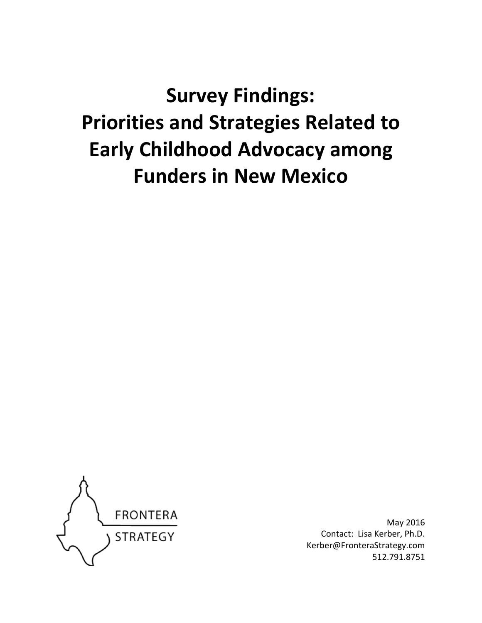# **Survey Findings: Priorities and Strategies Related to Early Childhood Advocacy among Funders in New Mexico**



May 2016 Contact: Lisa Kerber, Ph.D. Kerber@FronteraStrategy.com 512.791.8751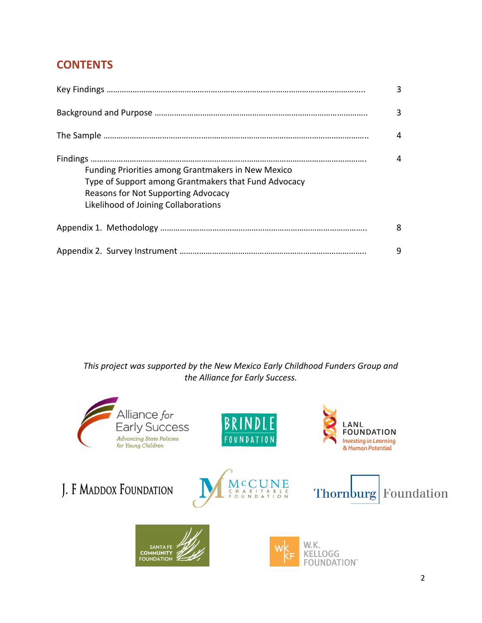# **CONTENTS**

|                                                                                                                                                                                                  | 3 |
|--------------------------------------------------------------------------------------------------------------------------------------------------------------------------------------------------|---|
|                                                                                                                                                                                                  | 3 |
|                                                                                                                                                                                                  | 4 |
| <b>Funding Priorities among Grantmakers in New Mexico</b><br>Type of Support among Grantmakers that Fund Advocacy<br>Reasons for Not Supporting Advocacy<br>Likelihood of Joining Collaborations | 4 |
|                                                                                                                                                                                                  | 8 |
|                                                                                                                                                                                                  | 9 |

*This project was supported by the New Mexico Early Childhood Funders Group and the Alliance for Early Success.* 

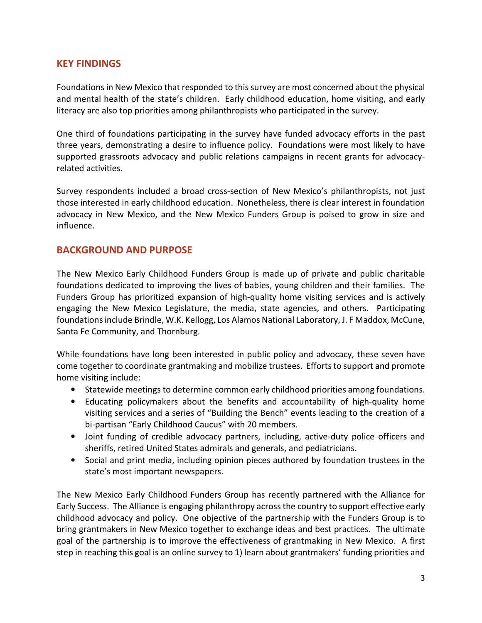# **KEY FINDINGS**

Foundations in New Mexico that responded to this survey are most concerned about the physical and mental health of the state's children. Early childhood education, home visiting, and early literacy are also top priorities among philanthropists who participated in the survey.

One third of foundations participating in the survey have funded advocacy efforts in the past three years, demonstrating a desire to influence policy. Foundations were most likely to have supported grassroots advocacy and public relations campaigns in recent grants for advocacyrelated activities.

Survey respondents included a broad cross-section of New Mexico's philanthropists, not just those interested in early childhood education. Nonetheless, there is clear interest in foundation advocacy in New Mexico, and the New Mexico Funders Group is poised to grow in size and influence.

### **BACKGROUND AND PURPOSE**

The New Mexico Early Childhood Funders Group is made up of private and public charitable foundations dedicated to improving the lives of babies, young children and their families. The Funders Group has prioritized expansion of high-quality home visiting services and is actively engaging the New Mexico Legislature, the media, state agencies, and others. Participating foundations include Brindle, W.K. Kellogg, Los Alamos National Laboratory, J. F Maddox, McCune, Santa Fe Community, and Thornburg.

While foundations have long been interested in public policy and advocacy, these seven have come together to coordinate grantmaking and mobilize trustees. Efforts to support and promote home visiting include:

- Statewide meetings to determine common early childhood priorities among foundations.
- Educating policymakers about the benefits and accountability of high-quality home visiting services and a series of "Building the Bench" events leading to the creation of a bi-partisan "Early Childhood Caucus" with 20 members.
- Joint funding of credible advocacy partners, including, active-duty police officers and sheriffs, retired United States admirals and generals, and pediatricians.
- Social and print media, including opinion pieces authored by foundation trustees in the state's most important newspapers.

The New Mexico Early Childhood Funders Group has recently partnered with the Alliance for Early Success. The Alliance is engaging philanthropy across the country to support effective early childhood advocacy and policy. One objective of the partnership with the Funders Group is to bring grantmakers in New Mexico together to exchange ideas and best practices. The ultimate goal of the partnership is to improve the effectiveness of grantmaking in New Mexico. A first step in reaching this goal is an online survey to 1) learn about grantmakers' funding priorities and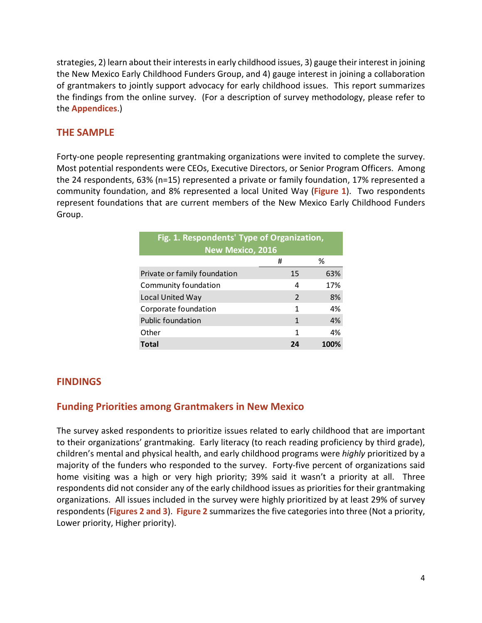strategies, 2) learn about their interests in early childhood issues, 3) gauge their interest in joining the New Mexico Early Childhood Funders Group, and 4) gauge interest in joining a collaboration of grantmakers to jointly support advocacy for early childhood issues. This report summarizes the findings from the online survey. (For a description of survey methodology, please refer to the **Appendices**.)

# **THE SAMPLE**

Forty-one people representing grantmaking organizations were invited to complete the survey. Most potential respondents were CEOs, Executive Directors, or Senior Program Officers. Among the 24 respondents, 63% (n=15) represented a private or family foundation, 17% represented a community foundation, and 8% represented a local United Way (**Figure 1**). Two respondents represent foundations that are current members of the New Mexico Early Childhood Funders Group.

| Fig. 1. Respondents' Type of Organization,<br><b>New Mexico, 2016</b> |               |     |
|-----------------------------------------------------------------------|---------------|-----|
|                                                                       | #             | ℅   |
| Private or family foundation                                          | 15            | 63% |
| Community foundation                                                  | 4             | 17% |
| Local United Way                                                      | $\mathcal{P}$ | 8%  |
| Corporate foundation                                                  | 1             | 4%  |
| <b>Public foundation</b>                                              | 1             | 4%  |
| Other                                                                 | 1             | 4%  |
| Total                                                                 | 24            |     |

# **FINDINGS**

# **Funding Priorities among Grantmakers in New Mexico**

The survey asked respondents to prioritize issues related to early childhood that are important to their organizations' grantmaking. Early literacy (to reach reading proficiency by third grade), children's mental and physical health, and early childhood programs were *highly* prioritized by a majority of the funders who responded to the survey. Forty-five percent of organizations said home visiting was a high or very high priority; 39% said it wasn't a priority at all. Three respondents did not consider any of the early childhood issues as priorities for their grantmaking organizations. All issues included in the survey were highly prioritized by at least 29% of survey respondents (**Figures 2 and 3**). **Figure 2** summarizes the five categories into three (Not a priority, Lower priority, Higher priority).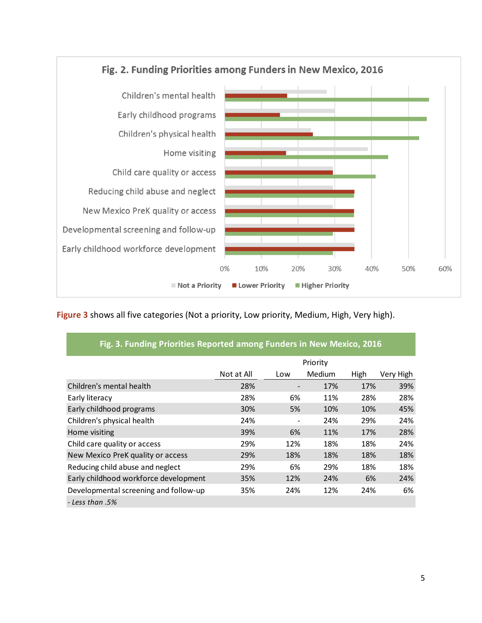

**Figure 3** shows all five categories (Not a priority, Low priority, Medium, High, Very high).

|                                       |            |     | Priority |      |           |
|---------------------------------------|------------|-----|----------|------|-----------|
|                                       | Not at All | Low | Medium   | High | Very High |
| Children's mental health              | 28%        |     | 17%      | 17%  | 39%       |
| Early literacy                        | 28%        | 6%  | 11%      | 28%  | 28%       |
| Early childhood programs              | 30%        | 5%  | 10%      | 10%  | 45%       |
| Children's physical health            | 24%        |     | 24%      | 29%  | 24%       |
| Home visiting                         | 39%        | 6%  | 11%      | 17%  | 28%       |
| Child care quality or access          | 29%        | 12% | 18%      | 18%  | 24%       |
| New Mexico PreK quality or access     | 29%        | 18% | 18%      | 18%  | 18%       |
| Reducing child abuse and neglect      | 29%        | 6%  | 29%      | 18%  | 18%       |
| Early childhood workforce development | 35%        | 12% | 24%      | 6%   | 24%       |
| Developmental screening and follow-up | 35%        | 24% | 12%      | 24%  | 6%        |
| - Less than .5%                       |            |     |          |      |           |

# **Fig. 3. Funding Priorities Reported among Funders in New Mexico, 2016**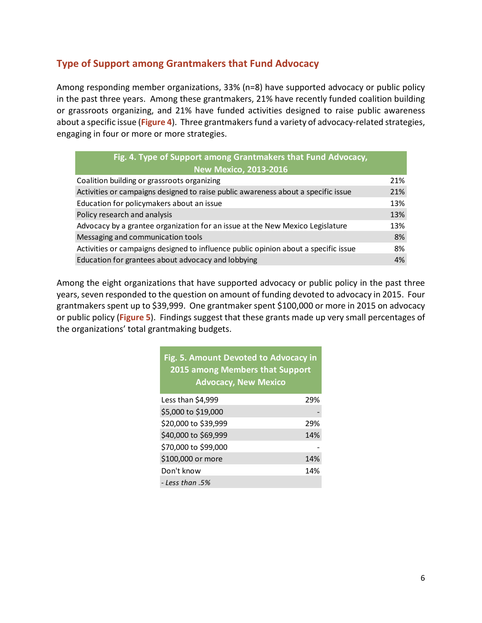# **Type of Support among Grantmakers that Fund Advocacy**

Among responding member organizations, 33% (n=8) have supported advocacy or public policy in the past three years. Among these grantmakers, 21% have recently funded coalition building or grassroots organizing, and 21% have funded activities designed to raise public awareness about a specific issue (**Figure 4**). Three grantmakers fund a variety of advocacy-related strategies, engaging in four or more or more strategies.

| Fig. 4. Type of Support among Grantmakers that Fund Advocacy,                       |     |  |
|-------------------------------------------------------------------------------------|-----|--|
| <b>New Mexico, 2013-2016</b>                                                        |     |  |
| Coalition building or grassroots organizing                                         | 21% |  |
| Activities or campaigns designed to raise public awareness about a specific issue   | 21% |  |
| Education for policymakers about an issue                                           | 13% |  |
| Policy research and analysis                                                        | 13% |  |
| Advocacy by a grantee organization for an issue at the New Mexico Legislature       | 13% |  |
| Messaging and communication tools                                                   | 8%  |  |
| Activities or campaigns designed to influence public opinion about a specific issue | 8%  |  |
| Education for grantees about advocacy and lobbying                                  | 4%  |  |

Among the eight organizations that have supported advocacy or public policy in the past three years, seven responded to the question on amount of funding devoted to advocacy in 2015. Four grantmakers spent up to \$39,999. One grantmaker spent \$100,000 or more in 2015 on advocacy or public policy (**Figure 5**). Findings suggest that these grants made up very small percentages of the organizations' total grantmaking budgets.

| Fig. 5. Amount Devoted to Advocacy in<br>2015 among Members that Support<br><b>Advocacy, New Mexico</b> |     |  |
|---------------------------------------------------------------------------------------------------------|-----|--|
| Less than \$4,999                                                                                       | 29% |  |
| \$5,000 to \$19,000                                                                                     |     |  |
| \$20,000 to \$39,999                                                                                    | 29% |  |
| \$40,000 to \$69,999                                                                                    | 14% |  |
| \$70,000 to \$99,000                                                                                    |     |  |
| \$100,000 or more                                                                                       | 14% |  |
| Don't know                                                                                              | 14% |  |
| - Less than .5%                                                                                         |     |  |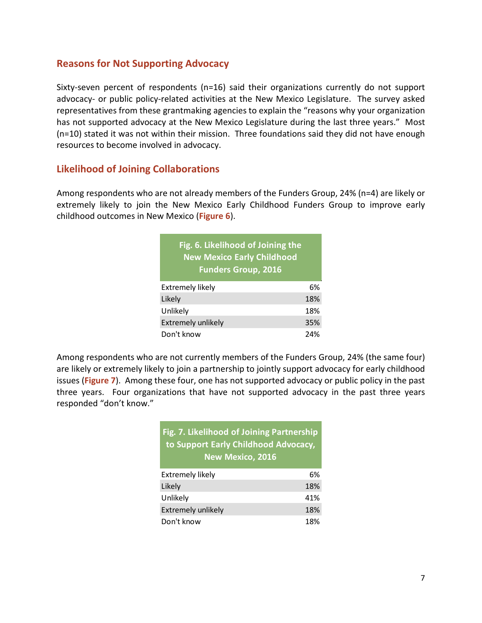# **Reasons for Not Supporting Advocacy**

Sixty-seven percent of respondents (n=16) said their organizations currently do not support advocacy- or public policy-related activities at the New Mexico Legislature. The survey asked representatives from these grantmaking agencies to explain the "reasons why your organization has not supported advocacy at the New Mexico Legislature during the last three years." Most (n=10) stated it was not within their mission. Three foundations said they did not have enough resources to become involved in advocacy.

# **Likelihood of Joining Collaborations**

Among respondents who are not already members of the Funders Group, 24% (n=4) are likely or extremely likely to join the New Mexico Early Childhood Funders Group to improve early childhood outcomes in New Mexico (**Figure 6**).

| Fig. 6. Likelihood of Joining the<br><b>New Mexico Early Childhood</b><br><b>Funders Group, 2016</b> |     |
|------------------------------------------------------------------------------------------------------|-----|
| Extremely likely                                                                                     | 6%  |
| Likely                                                                                               | 18% |
| Unlikely                                                                                             | 18% |
| <b>Extremely unlikely</b>                                                                            | 35% |
| Don't know                                                                                           | 24% |

Among respondents who are not currently members of the Funders Group, 24% (the same four) are likely or extremely likely to join a partnership to jointly support advocacy for early childhood issues (**Figure 7**). Among these four, one has not supported advocacy or public policy in the past three years. Four organizations that have not supported advocacy in the past three years responded "don't know."

# **Fig. 7. Likelihood of Joining Partnership to Support Early Childhood Advocacy, New Mexico, 2016**

| <b>Extremely likely</b>   | 6%  |
|---------------------------|-----|
| Likely                    | 18% |
| Unlikely                  | 41% |
| <b>Extremely unlikely</b> | 18% |
| Don't know                | 18% |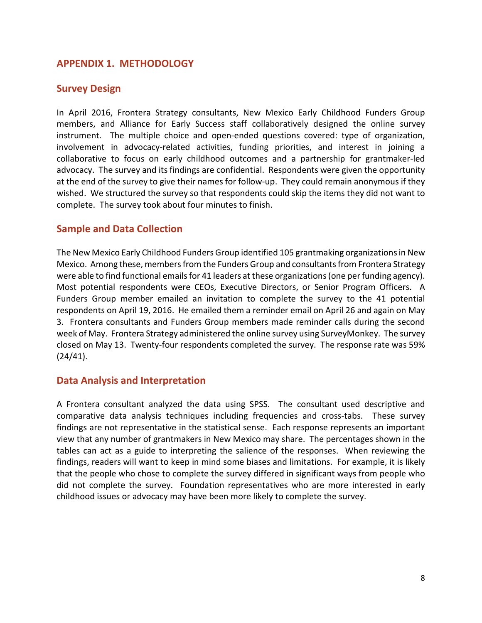# **APPENDIX 1. METHODOLOGY**

### **Survey Design**

In April 2016, Frontera Strategy consultants, New Mexico Early Childhood Funders Group members, and Alliance for Early Success staff collaboratively designed the online survey instrument. The multiple choice and open-ended questions covered: type of organization, involvement in advocacy-related activities, funding priorities, and interest in joining a collaborative to focus on early childhood outcomes and a partnership for grantmaker-led advocacy. The survey and its findings are confidential. Respondents were given the opportunity at the end of the survey to give their names for follow-up. They could remain anonymous if they wished. We structured the survey so that respondents could skip the items they did not want to complete. The survey took about four minutes to finish.

# **Sample and Data Collection**

The New Mexico Early Childhood Funders Group identified 105 grantmaking organizations in New Mexico. Among these, members from the Funders Group and consultants from Frontera Strategy were able to find functional emails for 41 leaders at these organizations (one per funding agency). Most potential respondents were CEOs, Executive Directors, or Senior Program Officers. A Funders Group member emailed an invitation to complete the survey to the 41 potential respondents on April 19, 2016. He emailed them a reminder email on April 26 and again on May 3. Frontera consultants and Funders Group members made reminder calls during the second week of May. Frontera Strategy administered the online survey using SurveyMonkey. The survey closed on May 13. Twenty-four respondents completed the survey. The response rate was 59% (24/41).

#### **Data Analysis and Interpretation**

A Frontera consultant analyzed the data using SPSS. The consultant used descriptive and comparative data analysis techniques including frequencies and cross-tabs. These survey findings are not representative in the statistical sense. Each response represents an important view that any number of grantmakers in New Mexico may share. The percentages shown in the tables can act as a guide to interpreting the salience of the responses. When reviewing the findings, readers will want to keep in mind some biases and limitations. For example, it is likely that the people who chose to complete the survey differed in significant ways from people who did not complete the survey. Foundation representatives who are more interested in early childhood issues or advocacy may have been more likely to complete the survey.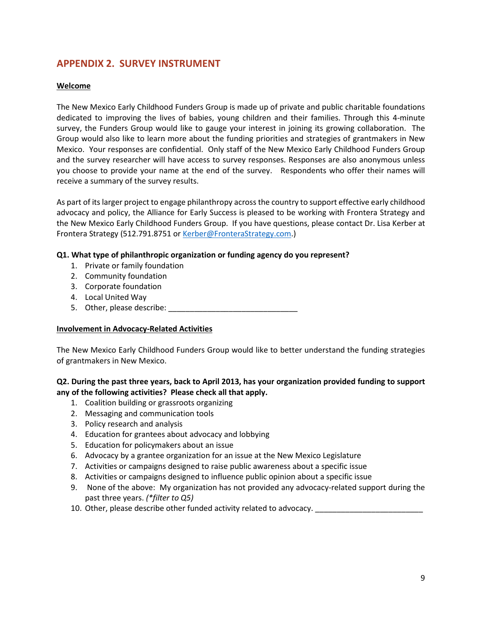# **APPENDIX 2. SURVEY INSTRUMENT**

#### **Welcome**

The New Mexico Early Childhood Funders Group is made up of private and public charitable foundations dedicated to improving the lives of babies, young children and their families. Through this 4-minute survey, the Funders Group would like to gauge your interest in joining its growing collaboration. The Group would also like to learn more about the funding priorities and strategies of grantmakers in New Mexico. Your responses are confidential. Only staff of the New Mexico Early Childhood Funders Group and the survey researcher will have access to survey responses. Responses are also anonymous unless you choose to provide your name at the end of the survey. Respondents who offer their names will receive a summary of the survey results.

As part of its larger project to engage philanthropy across the country to support effective early childhood advocacy and policy, the Alliance for Early Success is pleased to be working with Frontera Strategy and the New Mexico Early Childhood Funders Group. If you have questions, please contact Dr. Lisa Kerber at Frontera Strategy (512.791.8751 or Kerber@FronteraStrategy.com.)

#### **Q1. What type of philanthropic organization or funding agency do you represent?**

- 1. Private or family foundation
- 2. Community foundation
- 3. Corporate foundation
- 4. Local United Way
- 5. Other, please describe:

#### **Involvement in Advocacy-Related Activities**

The New Mexico Early Childhood Funders Group would like to better understand the funding strategies of grantmakers in New Mexico.

#### **Q2. During the past three years, back to April 2013, has your organization provided funding to support any of the following activities? Please check all that apply.**

- 1. Coalition building or grassroots organizing
- 2. Messaging and communication tools
- 3. Policy research and analysis
- 4. Education for grantees about advocacy and lobbying
- 5. Education for policymakers about an issue
- 6. Advocacy by a grantee organization for an issue at the New Mexico Legislature
- 7. Activities or campaigns designed to raise public awareness about a specific issue
- 8. Activities or campaigns designed to influence public opinion about a specific issue
- 9. None of the above: My organization has not provided any advocacy-related support during the past three years. *(\*filter to Q5)*
- 10. Other, please describe other funded activity related to advocacy. \_\_\_\_\_\_\_\_\_\_\_\_\_\_\_\_\_\_\_\_\_\_\_\_\_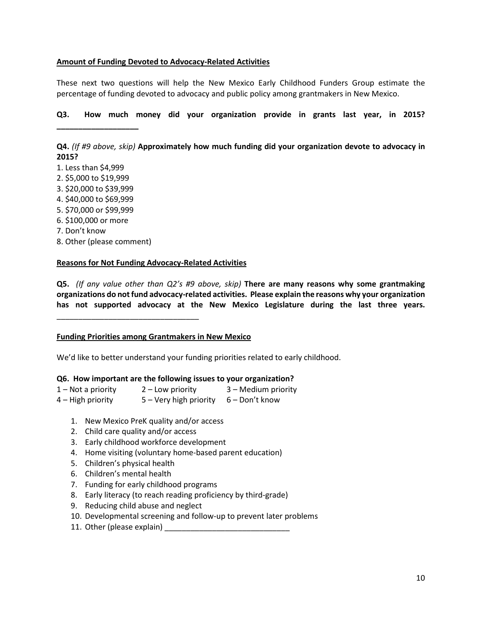#### **Amount of Funding Devoted to Advocacy-Related Activities**

These next two questions will help the New Mexico Early Childhood Funders Group estimate the percentage of funding devoted to advocacy and public policy among grantmakers in New Mexico.

**Q3. How much money did your organization provide in grants last year, in 2015?** 

**Q4.** *(If #9 above, skip)* **Approximately how much funding did your organization devote to advocacy in 2015?**

1. Less than \$4,999

**\_\_\_\_\_\_\_\_\_\_\_\_\_\_\_\_\_\_\_** 

- 2. \$5,000 to \$19,999
- 3. \$20,000 to \$39,999
- 4. \$40,000 to \$69,999
- 5. \$70,000 or \$99,999
- 6. \$100,000 or more
- 7. Don't know
- 8. Other (please comment)

#### **Reasons for Not Funding Advocacy-Related Activities**

**Q5.** *(If any value other than Q2's #9 above, skip)* **There are many reasons why some grantmaking organizations do not fund advocacy-related activities. Please explain the reasons why your organization has not supported advocacy at the New Mexico Legislature during the last three years.** 

#### **Funding Priorities among Grantmakers in New Mexico**

We'd like to better understand your funding priorities related to early childhood.

#### **Q6. How important are the following issues to your organization?**

| $1 -$ Not a priority | $2$ – Low priority                    | 3 - Medium priority |
|----------------------|---------------------------------------|---------------------|
| $4 - High priority$  | 5 – Very high priority 6 – Don't know |                     |

- 1. New Mexico PreK quality and/or access
- 2. Child care quality and/or access
- 3. Early childhood workforce development
- 4. Home visiting (voluntary home-based parent education)
- 5. Children's physical health
- 6. Children's mental health
- 7. Funding for early childhood programs
- 8. Early literacy (to reach reading proficiency by third-grade)
- 9. Reducing child abuse and neglect
- 10. Developmental screening and follow-up to prevent later problems
- 11. Other (please explain) \_\_\_\_\_\_\_\_\_\_\_\_\_\_\_\_\_\_\_\_\_\_\_\_\_\_\_\_\_